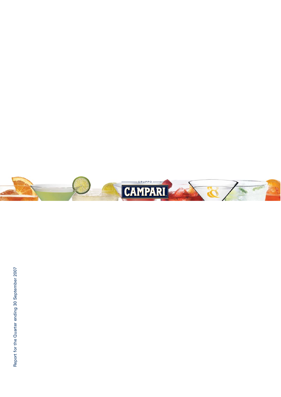Report for the Quarter ending 30 September 2007 Report for the Quarter ending 30 September 2007

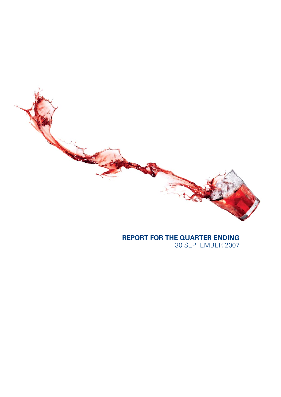**REPORT FOR THE QUARTER ENDING**

30 SEPTEMBER 2007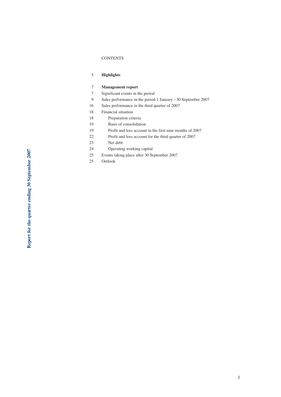### CONTENTS

# 5 **Highlights**

### 7 **Management report**

- 7 Significant events in the period
- 9 Sales performance in the period 1 January 30 September 2007
- 16 Sales performance in the third quarter of 2007
- 18 Financial situation
- 18 Preparation criteria
- 19 Basis of consolidation
- 19 Profit and loss account in the first nine months of 2007
- 22 Profit and loss account for the third quarter of 2007
- 23 Net debt
- 24 Operating working capital
- 25 Events taking place after 30 September 2007
- 25 Outlook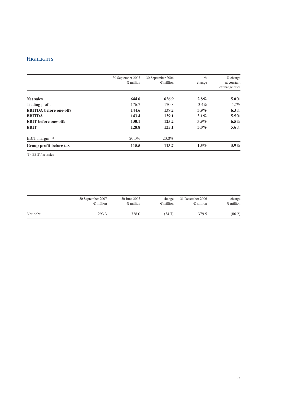# **HIGHLIGHTS**

|                               | 30 September 2007  | 30 September 2006  | $\%$    | $%$ change     |
|-------------------------------|--------------------|--------------------|---------|----------------|
|                               | $\epsilon$ million | $\epsilon$ million | change  | at constant    |
|                               |                    |                    |         | exchange rates |
| <b>Net sales</b>              | 644.6              | 626.9              | $2.8\%$ | $5.0\%$        |
| Trading profit                | 176.7              | 170.8              | $3.4\%$ | 5.7%           |
| <b>EBITDA</b> before one-offs | 144.6              | 139.2              | $3.9\%$ | $6.3\%$        |
| <b>EBITDA</b>                 | 143.4              | 139.1              | $3.1\%$ | $5.5\%$        |
| <b>EBIT</b> before one-offs   | 130.1              | 125.2              | $3.9\%$ | $6.5\%$        |
| <b>EBIT</b>                   | 128.8              | 125.1              | $3.0\%$ | $5.6\%$        |
| EBIT margin $(1)$             | 20.0%              | 20.0%              |         |                |
| Group profit before tax       | 115.5              | 113.7              | $1.5\%$ | $3.9\%$        |

(1): EBIT / net sales

|          | 30 September 2007  | 30 June 2007       | change             | 31 December 2006   | change             |
|----------|--------------------|--------------------|--------------------|--------------------|--------------------|
|          | $\epsilon$ million | $\epsilon$ million | $\epsilon$ million | $\epsilon$ million | $\epsilon$ million |
| Net debt | 293.3              | 328.0              | (34.7)             | 379.5              | (86.2)             |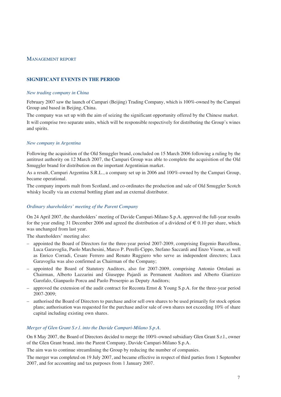# MANAGEMENT REPORT

# **SIGNIFICANT EVENTS IN THE PERIOD**

## *New trading company in China*

February 2007 saw the launch of Campari (Beijing) Trading Company, which is 100%-owned by the Campari Group and based in Beijing, China.

The company was set up with the aim of seizing the significant opportunity offered by the Chinese market. It will comprise two separate units, which will be responsible respectively for distributing the Group's wines and spirits*.*

## *New company in Argentina*

Following the acquisition of the Old Smuggler brand, concluded on 15 March 2006 following a ruling by the antitrust authority on 12 March 2007, the Campari Group was able to complete the acquisition of the Old Smuggler brand for distribution on the important Argentinian market.

As a result, Campari Argentina S.R.L., a company set up in 2006 and 100%-owned by the Campari Group, became operational.

The company imports malt from Scotland, and co-ordinates the production and sale of Old Smuggler Scotch whisky locally via an external bottling plant and an external distributor.

### *Ordinary shareholders' meeting of the Parent Company*

On 24 April 2007, the shareholders' meeting of Davide Campari-Milano S.p.A. approved the full-year results for the year ending 31 December 2006 and agreed the distribution of a dividend of  $\epsilon$  0.10 per share, which was unchanged from last year.

The shareholders' meeting also:

- appointed the Board of Directors for the three-year period 2007-2009, comprising Eugenio Barcellona, Luca Garavoglia, Paolo Marchesini, Marco P. Perelli-Cippo, Stefano Saccardi and Enzo Visone, as well as Enrico Corradi, Cesare Ferrero and Renato Ruggiero who serve as independent directors; Luca Garavoglia was also confirmed as Chairman of the Company;
- appointed the Board of Statutory Auditors, also for 2007-2009, comprising Antonio Ortolani as Chairman, Alberto Lazzarini and Giuseppe Pajardi as Permanent Auditors and Alberto Giarrizzo Garofalo, Gianpaolo Porcu and Paolo Proserpio as Deputy Auditors;
- $-$  approved the extension of the audit contract for Reconta Ernst & Young S.p.A. for the three-year period 2007-2009;
- authorised the Board of Directors to purchase and/or sell own shares to be used primarily for stock option plans; authorisation was requested for the purchase and/or sale of own shares not exceeding 10% of share capital including existing own shares.

# *Merger of Glen Grant S.r.l. into the Davide Campari-Milano S.p.A.*

On 8 May 2007, the Board of Directors decided to merge the 100%-owned subsidiary Glen Grant S.r.l., owner of the Glen Grant brand, into the Parent Company, Davide Campari-Milano S.p.A.

The aim was to continue streamlining the Group by reducing the number of companies.

The merger was completed on 19 July 2007, and became effective in respect of third parties from 1 September 2007, and for accounting and tax purposes from 1 January 2007.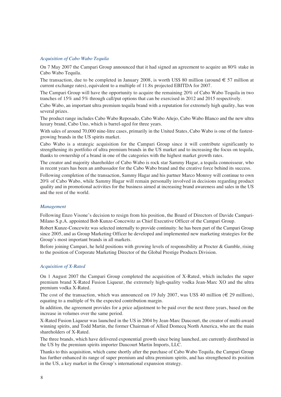### *Acquisition of Cabo Wabo Tequila*

On 7 May 2007 the Campari Group announced that it had signed an agreement to acquire an 80% stake in Cabo Wabo Tequila.

The transaction, due to be completed in January 2008, is worth US\$ 80 million (around  $\in$  57 million at current exchange rates), equivalent to a multiple of 11.8x projected EBITDA for 2007.

The Campari Group will have the opportunity to acquire the remaining 20% of Cabo Wabo Tequila in two tranches of 15% and 5% through call/put options that can be exercised in 2012 and 2015 respectively.

Cabo Wabo, an important ultra premium tequila brand with a reputation for extremely high quality, has won several prizes.

The product range includes Cabo Wabo Reposado, Cabo Wabo Añejo, Cabo Wabo Blanco and the new ultra luxury brand, Cabo Uno, which is barrel-aged for three years.

With sales of around 70,000 nine-litre cases, primarily in the United States, Cabo Wabo is one of the fastestgrowing brands in the US spirits market.

Cabo Wabo is a strategic acquisition for the Campari Group since it will contribute significantly to strengthening its portfolio of ultra premium brands in the US market and to increasing the focus on tequila, thanks to ownership of a brand in one of the categories with the highest market growth rates.

The creator and majority shareholder of Cabo Wabo is rock star Sammy Hagar, a tequila connoisseur, who in recent years has been an ambassador for the Cabo Wabo brand and the creative force behind its success.

Following completion of the transaction, Sammy Hagar and his partner Marco Monroy will continue to own 20% of Cabo Wabo, while Sammy Hagar will remain personally involved in decisions regarding product quality and in promotional activities for the business aimed at increasing brand awareness and sales in the US and the rest of the world.

#### *Management*

Following Enzo Visone's decision to resign from his position, the Board of Directors of Davide Campari-Milano S.p.A. appointed Bob Kunze-Concewitz as Chief Executive Officer of the Campari Group.

Robert Kunze-Concewitz was selected internally to provide continuity: he has been part of the Campari Group since 2005, and as Group Marketing Officer he developed and implemented new marketing strategies for the Group's most important brands in all markets.

Before joining Campari, he held positions with growing levels of responsibility at Procter & Gamble, rising to the position of Corporate Marketing Director of the Global Prestige Products Division.

## *Acquisition of X-Rated*

On 1 August 2007 the Campari Group completed the acquisition of X-Rated, which includes the super premium brand X-Rated Fusion Liqueur, the extremely high-quality vodka Jean-Marc XO and the ultra premium vodka X-Rated.

The cost of the transaction, which was announced on 19 July 2007, was US\$ 40 million ( $\in$  29 million), equating to a multiple of 9x the expected contribution margin.

In addition, the agreement provides for a price adjustment to be paid over the next three years, based on the increase in volumes over the same period.

X-Rated Fusion Liqueur was launched in the US in 2004 by Jean-Marc Daucourt, the creator of multi-award winning spirits, and Todd Martin, the former Chairman of Allied Domecq North America, who are the main shareholders of X-Rated.

The three brands, which have delivered exponential growth since being launched, are currently distributed in the US by the premium spirits importer Daucourt Martin Imports, LLC.

Thanks to this acquisition, which came shortly after the purchase of Cabo Wabo Tequila, the Campari Group has further enhanced its range of super premium and ultra premium spirits, and has strengthened its position in the US, a key market in the Group's international expansion strategy.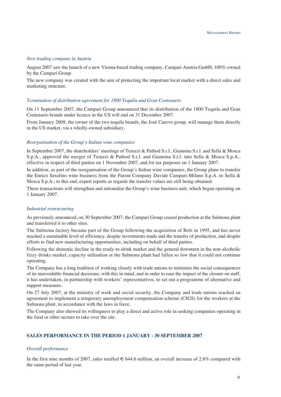### *New trading company in Austria*

August 2007 saw the launch of a new Vienna-based trading company, Campari Austria GmbH, 100%-owned by the Campari Group.

The new company was created with the aim of protecting the important local market with a direct sales and marketing structure.

#### *Termination of distribution agreement for 1800 Tequila and Gran Centenario*

On 11 September 2007, the Campari Group announced that its distribution of the 1800 Tequila and Gran Centenario brands under licence in the US will end on 31 December 2007.

From January 2008, the owner of the two tequila brands, the José Cuervo group, will manage them directly in the US market, via a wholly-owned subsidiary.

#### *Reorganisation of the Group's Italian wine companies*

In September 2007, the shareholders' meetings of Teruzzi & Puthod S.r.l., Giannina S.r.l. and Sella & Mosca S.p.A., approved the merger of Teruzzi & Puthod S.r.l. and Giannina S.r.l. into Sella & Mosca S.p.A., effective in respect of third parties on 1 November 2007, and for tax purposes on 1 January 2007.

In addition, as part of the reorganisation of the Group's Italian wine companies, the Group plans to transfer the Enrico Serafino wine business from the Parent Company Davide Campari-Milano S.p.A. to Sella & Mosca S.p.A.; to this end, expert reports as regards the transfer values are still being obtained.

These transactions will strengthen and rationalise the Group's wine business unit, which began operating on 1 January 2007.

### *Industrial restructuring*

As previously announced, on 30 September 2007, the Campari Group ceased production at the Sulmona plant and transferred it to other sites.

The Sulmona factory became part of the Group following the acquisition of Bols in 1995, and has never reached a sustainable level of efficiency, despite investments made and the transfer of production, and despite efforts to find new manufacturing opportunities, including on behalf of third parties.

Following the dramatic decline in the ready-to-drink market and the general downturn in the non-alcoholic fizzy drinks market, capacity utilisation at the Sulmona plant had fallen so low that it could not continue operating.

The Company has a long tradition of working closely with trade unions to minimise the social consequences of its unavoidable financial decisions; with this in mind, and in order to ease the impact of the closure on staff, it has undertaken, in partnership with workers' representatives, to set out a programme of alternative and support measures.

On 27 July 2007, at the ministry of work and social security, the Company and trade unions reached an agreement to implement a temporary unemployment compensation scheme (CIGS) for the workers at the Sulmona plant, in accordance with the laws in force.

The Company also showed its willingness to play a direct and active role in seeking companies operating in the food or other sectors to take over the site.

# **SALES PERFORMANCE IN THE PERIOD 1 JANUARY - 30 SEPTEMBER 2007**

### *Overall performance*

In the first nine months of 2007, sales totalled  $\in 644.6$  million, an overall increase of 2.8% compared with the same period of last year.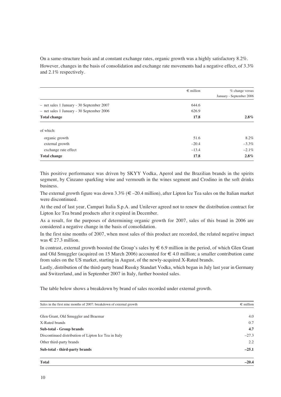On a same-structure basis and at constant exchange rates, organic growth was a highly satisfactory 8.2%. However, changes in the basis of consolidation and exchange rate movements had a negative effect, of 3.3% and 2.1% respectively.

|                                           | $\epsilon$ million | $%$ change versus        |
|-------------------------------------------|--------------------|--------------------------|
|                                           |                    | January - September 2006 |
| - net sales 1 January - 30 September 2007 | 644.6              |                          |
| - net sales 1 January - 30 September 2006 | 626.9              |                          |
| <b>Total change</b>                       | 17.8               | $2.8\%$                  |
| of which:                                 |                    |                          |
| organic growth                            | 51.6               | 8.2%                     |
| external growth                           | $-20.4$            | $-3.3\%$                 |
| exchange rate effect                      | $-13.4$            | $-2.1\%$                 |
| <b>Total change</b>                       | 17.8               | $2.8\%$                  |

This positive performance was driven by SKYY Vodka, Aperol and the Brazilian brands in the spirits segment, by Cinzano sparkling wine and vermouth in the wines segment and Crodino in the soft drinks business.

The external growth figure was down  $3.3\%$  ( $\epsilon$  –20.4 million), after Lipton Ice Tea sales on the Italian market were discontinued.

At the end of last year, Campari Italia S.p.A. and Unilever agreed not to renew the distribution contract for Lipton Ice Tea brand products after it expired in December.

As a result, for the purposes of determining organic growth for 2007, sales of this brand in 2006 are considered a negative change in the basis of consolidation.

In the first nine months of 2007, when most sales of this product are recorded, the related negative impact was  $\in$  27.3 million.

In contrast, external growth boosted the Group's sales by  $\epsilon$  6.9 million in the period, of which Glen Grant and Old Smuggler (acquired on 15 March 2006) accounted for  $\in$  4.0 million; a smaller contribution came from sales on the US market, starting in August, of the newly-acquired X-Rated brands.

Lastly, distribution of the third-party brand Russky Standart Vodka, which began in July last year in Germany and Switzerland, and in September 2007 in Italy, further boosted sales.

The table below shows a breakdown by brand of sales recorded under external growth.

| Sales in the first nine months of 2007: breakdown of external growth | $\epsilon$ million |
|----------------------------------------------------------------------|--------------------|
| Glen Grant, Old Smuggler and Braemar                                 | 4.0                |
| X-Rated brands                                                       | 0.7                |
| Sub-total - Group brands                                             | 4.7                |
| Discontinued distribution of Lipton Ice Tea in Italy                 | $-27.3$            |
| Other third-party brands                                             | 2.2                |
| Sub-total - third-party brands                                       | $-25.1$            |
| <b>Total</b>                                                         | $-20.4$            |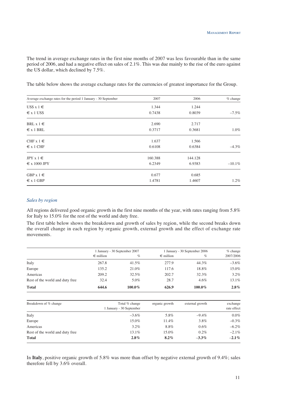The trend in average exchange rates in the first nine months of 2007 was less favourable than in the same period of 2006, and had a negative effect on sales of 2.1%. This was due mainly to the rise of the euro against the US dollar, which declined by 7.5%.

The table below shows the average exchange rates for the currencies of greatest importance for the Group.

| Average exchange rates for the period 1 January - 30 September | 2007    | 2006    | % change  |
|----------------------------------------------------------------|---------|---------|-----------|
| $\text{USS} \times 1 \in$                                      | 1.344   | 1.244   |           |
| $\epsilon$ x 1 US\$                                            | 0.7438  | 0.8039  | $-7.5\%$  |
| BRL $x 1 \in$                                                  | 2.690   | 2.717   |           |
| $\epsilon$ x 1 BRL                                             | 0.3717  | 0.3681  | $1.0\%$   |
| CHF $x 1 \in$                                                  | 1.637   | 1.566   |           |
| $\epsilon$ x 1 CHF                                             | 0.6108  | 0.6384  | $-4.3\%$  |
| JPY $x 1 \in$                                                  | 160.388 | 144.128 |           |
| $\epsilon$ x 1000 JPY                                          | 6.2349  | 6.9383  | $-10.1\%$ |
| GBP $x 1 \in$                                                  | 0.677   | 0.685   |           |
| $\epsilon$ x 1 GBP                                             | 1.4781  | 1.4607  | 1.2%      |

## *Sales by region*

All regions delivered good organic growth in the first nine months of the year, with rates ranging from 5.8% for Italy to 15.0% for the rest of the world and duty free.

The first table below shows the breakdown and growth of sales by region, while the second breaks down the overall change in each region by organic growth, external growth and the effect of exchange rate movements.

|                                 | 1 January - 30 September 2007 |                                            |                    | 1 January - 30 September 2006 | $%$ change              |
|---------------------------------|-------------------------------|--------------------------------------------|--------------------|-------------------------------|-------------------------|
|                                 | $\epsilon$ million            | $\%$                                       | $\epsilon$ million | $\%$                          | 2007/2006               |
| Italy                           | 267.8                         | 41.5%                                      | 277.9              | 44.3%                         | $-3.6\%$                |
| Europe                          | 135.2                         | 21.0%                                      | 117.6              | 18.8%                         | 15.0%                   |
| Americas                        | 209.2                         | 32.5%                                      | 202.7              | 32.3%                         | 3.2%                    |
| Rest of the world and duty free | 32.4                          | 5.0%                                       | 28.7               | $4.6\%$                       | 13.1%                   |
| <b>Total</b>                    | 644.6                         | 100.0%                                     | 626.9              | 100.0%                        | $2.8\%$                 |
| Breakdown of % change           |                               | Total % change<br>1 January - 30 September | organic growth     | external growth               | exchange<br>rate effect |
| Italy                           |                               | $-3.6\%$                                   | 5.8%               | $-9.4\%$                      | $0.0\%$                 |
| Europe                          |                               | 15.0%                                      | 11.4%              | 3.8%                          | $-0.3\%$                |
| Americas                        |                               | $3.2\%$                                    | 8.8%               | 0.6%                          | $-6.2\%$                |
| Rest of the world and duty free |                               | 13.1%                                      | 15.0%              | 0.2%                          | $-2.1\%$                |

In **Italy**, positive organic growth of 5.8% was more than offset by negative external growth of 9.4%; sales therefore fell by 3.6% overall.

**Total 2.8% 8.2%** –**3.3%** –**2.1%**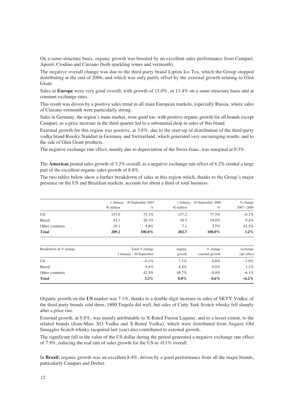On a same-structure basis, organic growth was boosted by an excellent sales performance from Campari, Aperol, Crodino and Cinzano (both sparkling wines and vermouth).

The negative overall change was due to the third-party brand Lipton Ice Tea, which the Group stopped distributing at the end of 2006, and which was only partly offset by the external growth relating to Glen Grant.

Sales in **Europe** were very good overall, with growth of 15.0%, or 11.4% on a same-structure basis and at constant exchange rates.

This result was driven by a positive sales trend in all main European markets, especially Russia, where sales of Cinzano vermouth were particularly strong.

Sales in Germany, the region's main market, were good too, with positive organic growth for all brands except Campari, as a price increase in the third quarter led to a substantial drop in sales of this brand.

External growth for this region was positive, at 3.8%, due to the start-up of distribution of the third-party vodka brand Russky Standart in Germany and Switzerland, which generated very encouraging results, and to the sale of Glen Grant products.

The negative exchange rate effect, mainly due to depreciation of the Swiss franc, was marginal at 0.3%.

The **Americas** posted sales growth of 3.2% overall, as a negative exchange rate effect of 6.2% eroded a large part of the excellent organic sales growth of 8.8%.

The two tables below show a further breakdown of sales in this region which, thanks to the Group's major presence on the US and Brazilian markets, account for about a third of total business.

|                 |                    | 1 January - 30 September 2007 |                    | January - 30 September 2006 |           |
|-----------------|--------------------|-------------------------------|--------------------|-----------------------------|-----------|
|                 | $\epsilon$ million | %                             | $\epsilon$ million | $\%$                        | 2007/2006 |
| US              | 157.0              | 75.1%                         | 157.2              | 77.5%                       | $-0.1\%$  |
| <b>Brazil</b>   | 42.1               | 20.1%                         | 38.5               | 19.0%                       | 9.4%      |
| Other countries | 10.1               | 4.8%                          | 7.1                | $3.5\%$                     | 42.5%     |
| <b>Total</b>    | 209.2              | $100.0\%$                     | 202.7              | $100.0\%$                   | $3.2\%$   |

| Breakdown of % change | Total % change<br>1 January - 30 September | organic<br>growth | $%$ change<br>external growth | exchange<br>rate effect |
|-----------------------|--------------------------------------------|-------------------|-------------------------------|-------------------------|
| US                    | $-0.1\%$                                   | 7.1%              | $0.8\%$                       | $-7.9\%$                |
| <b>Brazil</b>         | $9.4\%$                                    | 8.4%              | $0.0\%$                       | 1.1%                    |
| Other countries       | 42.5%                                      | 48.7%             | $0.0\%$                       | $-6.1\%$                |
| <b>Total</b>          | $3.2\%$                                    | $8.8\%$           | $0.6\%$                       | $-6.2\%$                |

Organic growth on the **US** market was 7.1%, thanks to a double-digit increase in sales of SKYY Vodka; of the third-party brands sold there, 1800 Tequila did well, but sales of Cutty Sark Scotch whisky fell sharply after a price rise.

External growth, at 0.8%, was mainly attributable to X-Rated Fusion Liqueur, and to a lesser extent, to the related brands (Jean-Marc XO Vodka and X-Rated Vodka), which were distributed from August; Old Smuggler Scotch whisky (acquired last year) also contributed to external growth.

The significant fall in the value of the US dollar during the period generated a negative exchange rate effect of 7.9%, reducing the real rate of sales growth for the US to -0.1% overall.

In **Brazil**, organic growth was an excellent 8.4%, driven by a good performance from all the major brands, particularly Campari and Dreher.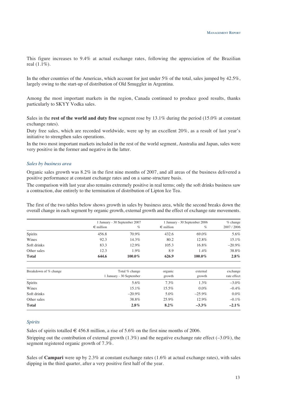This figure increases to 9.4% at actual exchange rates, following the appreciation of the Brazilian real (1.1%).

In the other countries of the Americas, which account for just under 5% of the total, sales jumped by 42.5%, largely owing to the start-up of distribution of Old Smuggler in Argentina.

Among the most important markets in the region, Canada continued to produce good results, thanks particularly to SKYY Vodka sales.

Sales in the **rest of the world and duty free** segment rose by 13.1% during the period (15.0% at constant exchange rates).

Duty free sales, which are recorded worldwide, were up by an excellent 20%, as a result of last year's initiative to strengthen sales operations.

In the two most important markets included in the rest of the world segment, Australia and Japan, sales were very positive in the former and negative in the latter.

#### *Sales by business area*

Organic sales growth was 8.2% in the first nine months of 2007, and all areas of the business delivered a positive performance at constant exchange rates and on a same-structure basis.

The comparison with last year also remains extremely positive in real terms; only the soft drinks business saw a contraction, due entirely to the termination of distribution of Lipton Ice Tea.

The first of the two tables below shows growth in sales by business area, while the second breaks down the overall change in each segment by organic growth, external growth and the effect of exchange rate movements.

|                       | 1 January - 30 September 2007 |                | 1 January - 30 September 2006 |           | $%$ change  |
|-----------------------|-------------------------------|----------------|-------------------------------|-----------|-------------|
|                       | $\epsilon$ million            | $\%$           | $\epsilon$ million            | $\%$      | 2007 / 2006 |
| Spirits               | 456.8                         | 70.9%          | 432.6                         | 69.0%     | 5.6%        |
| Wines                 | 92.3                          | 14.3%          | 80.2                          | 12.8%     | 15.1%       |
| Soft drinks           | 83.3                          | 12.9%          | 105.3                         | 16.8%     | $-20.9\%$   |
| Other sales           | 12.3                          | 1.9%           | 8.9                           | 1.4%      | 38.8%       |
| <b>Total</b>          | 644.6                         | 100.0%         | 626.9                         | 100.0%    | $2.8\%$     |
| Breakdown of % change |                               | Total % change | organic                       | external  | exchange    |
|                       | 1 January - 30 September      |                | growth                        | growth    | rate effect |
| Spirits               |                               | 5.6%           | $7.3\%$                       | 1.3%      | $-3.0\%$    |
| Wines                 |                               | 15.1%          | 15.5%                         | $0.0\%$   | $-0.4\%$    |
| Soft drinks           |                               | $-20.9\%$      | 5.0%                          | $-25.9\%$ | $0.0\%$     |
| Other sales           |                               | 38.8%          | 25.9%                         | 12.9%     | $-0.1\%$    |
| <b>Total</b>          |                               | 2.8%           | $8.2\%$                       | $-3.3\%$  | $-2.1\%$    |

## *Spirits*

Sales of spirits totalled  $\in$  456.8 million, a rise of 5.6% on the first nine months of 2006.

Stripping out the contribution of external growth (1.3%) and the negative exchange rate effect (–3.0%), the segment registered organic growth of 7.3%.

Sales of **Campari** were up by 2.3% at constant exchange rates (1.6% at actual exchange rates), with sales dipping in the third quarter, after a very positive first half of the year.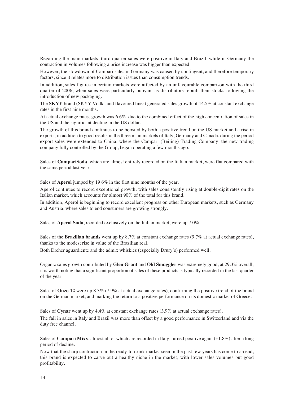Regarding the main markets, third-quarter sales were positive in Italy and Brazil, while in Germany the contraction in volumes following a price increase was bigger than expected.

However, the slowdown of Campari sales in Germany was caused by contingent, and therefore temporary factors, since it relates more to distribution issues than consumption trends.

In addition, sales figures in certain markets were affected by an unfavourable comparison with the third quarter of 2006, when sales were particularly buoyant as distributors rebuilt their stocks following the introduction of new packaging.

The **SKYY** brand (SKYY Vodka and flavoured lines) generated sales growth of 14.5% at constant exchange rates in the first nine months.

At actual exchange rates, growth was 6.6%, due to the combined effect of the high concentration of sales in the US and the significant decline in the US dollar.

The growth of this brand continues to be boosted by both a positive trend on the US market and a rise in exports; in addition to good results in the three main markets of Italy, Germany and Canada, during the period export sales were extended to China, where the Campari (Beijing) Trading Company, the new trading company fully controlled by the Group, began operating a few months ago.

Sales of **CampariSoda**, which are almost entirely recorded on the Italian market, were flat compared with the same period last year.

Sales of **Aperol** jumped by 19.6% in the first nine months of the year.

Aperol continues to record exceptional growth, with sales consistently rising at double-digit rates on the Italian market, which accounts for almost 90% of the total for this brand.

In addition, Aperol is beginning to record excellent progress on other European markets, such as Germany and Austria, where sales to end consumers are growing strongly.

Sales of **Aperol Soda**, recorded exclusively on the Italian market, were up 7.0%.

Sales of the **Brazilian brands** went up by 8.7% at constant exchange rates (9.7% at actual exchange rates), thanks to the modest rise in value of the Brazilian real.

Both Dreher aguardiente and the admix whiskies (especially Drury's) performed well.

Organic sales growth contributed by **Glen Grant** and **Old Smuggler** was extremely good, at 29.3% overall; it is worth noting that a significant proportion of sales of these products is typically recorded in the last quarter of the year.

Sales of **Ouzo 12** were up 8.3% (7.9% at actual exchange rates), confirming the positive trend of the brand on the German market, and marking the return to a positive performance on its domestic market of Greece.

Sales of **Cynar** went up by 4.4% at constant exchange rates (3.9% at actual exchange rates).

The fall in sales in Italy and Brazil was more than offset by a good performance in Switzerland and via the duty free channel.

Sales of **Campari Mixx**, almost all of which are recorded in Italy, turned positive again (+1.8%) after a long period of decline.

Now that the sharp contraction in the ready-to-drink market seen in the past few years has come to an end, this brand is expected to carve out a healthy niche in the market, with lower sales volumes but good profitability.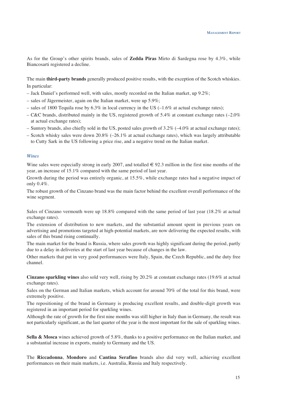As for the Group's other spirits brands, sales of **Zedda Piras** Mirto di Sardegna rose by 4.3%, while Biancosarti registered a decline.

The main **third-party brands** generally produced positive results, with the exception of the Scotch whiskies. In particular:

- Jack Daniel's performed well, with sales, mostly recorded on the Italian market, up 9.2%;
- sales of Jägermeister, again on the Italian market, were up 5.9%;
- sales of 1800 Tequila rose by  $6.3\%$  in local currency in the US (–1.6% at actual exchange rates);
- C&C brands, distributed mainly in the US, registered growth of 5.4% at constant exchange rates  $(-2.0\%$ at actual exchange rates);
- Suntory brands, also chiefly sold in the US, posted sales growth of  $3.2\%$  (–4.0% at actual exchange rates);
- Scotch whisky sales were down 20.8% (–26.1% at actual exchange rates), which was largely attributable to Cutty Sark in the US following a price rise, and a negative trend on the Italian market.

### *Wines*

Wine sales were especially strong in early 2007, and totalled  $\in$  92.3 million in the first nine months of the year, an increase of 15.1% compared with the same period of last year.

Growth during the period was entirely organic, at 15.5%, while exchange rates had a negative impact of only 0.4%.

The robust growth of the Cinzano brand was the main factor behind the excellent overall performance of the wine segment.

Sales of Cinzano vermouth were up 18.8% compared with the same period of last year (18.2% at actual exchange rates).

The extension of distribution to new markets, and the substantial amount spent in previous years on advertising and promotions targeted at high-potential markets, are now delivering the expected results, with sales of this brand rising continually.

The main market for the brand is Russia, where sales growth was highly significant during the period, partly due to a delay in deliveries at the start of last year because of changes in the law.

Other markets that put in very good performances were Italy, Spain, the Czech Republic, and the duty free channel.

**Cinzano sparkling wines** also sold very well, rising by 20.2% at constant exchange rates (19.6% at actual exchange rates).

Sales on the German and Italian markets, which account for around 70% of the total for this brand, were extremely positive.

The repositioning of the brand in Germany is producing excellent results, and double-digit growth was registered in an important period for sparkling wines.

Although the rate of growth for the first nine months was still higher in Italy than in Germany, the result was not particularly significant, as the last quarter of the year is the most important for the sale of sparkling wines.

**Sella & Mosca** wines achieved growth of 5.8%, thanks to a positive performance on the Italian market, and a substantial increase in exports, mainly to Germany and the US.

The **Riccadonna**, **Mondoro** and **Cantina Serafino** brands also did very well, achieving excellent performances on their main markets, i.e. Australia, Russia and Italy respectively.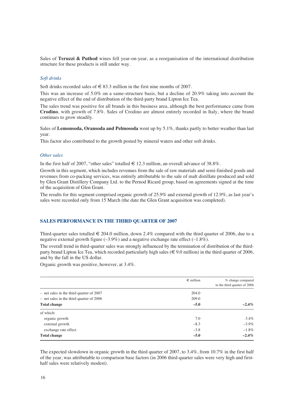Sales of **Teruzzi & Puthod** wines fell year-on-year, as a reorganisation of the international distribution structure for these products is still under way.

## *Soft drinks*

Soft drinks recorded sales of  $\epsilon$  83.3 million in the first nine months of 2007.

This was an increase of 5.0% on a same-structure basis, but a decline of 20.9% taking into account the negative effect of the end of distribution of the third-party brand Lipton Ice Tea.

The sales trend was positive for all brands in this business area, although the best performance came from **Crodino**, with growth of 7.8%. Sales of Crodino are almost entirely recorded in Italy, where the brand continues to grow steadily.

Sales of **Lemonsoda, Oransoda and Pelmosoda** went up by 5.1%, thanks partly to better weather than last year.

This factor also contributed to the growth posted by mineral waters and other soft drinks.

### *Other sales*

In the first half of 2007, "other sales" totalled  $\in$  12.3 million, an overall advance of 38.8%.

Growth in this segment, which includes revenues from the sale of raw materials and semi-finished goods and revenues from co-packing services, was entirely attributable to the sale of malt distillate produced and sold by Glen Grant Distillery Company Ltd. to the Pernod Ricard group, based on agreements signed at the time of the acquisition of Glen Grant.

The results for this segment comprised organic growth of 25.9% and external growth of 12.9%, as last year's sales were recorded only from 15 March (the date the Glen Grant acquisition was completed).

### **SALES PERFORMANCE IN THE THIRD QUARTER OF 2007**

Third-quarter sales totalled  $\epsilon$  204.0 million, down 2.4% compared with the third quarter of 2006, due to a negative external growth figure  $(-3.9\%)$  and a negative exchange rate effect  $(-1.8\%)$ .

The overall trend in third-quarter sales was strongly influenced by the termination of distribution of the thirdparty brand Lipton Ice Tea, which recorded particularly high sales ( $\epsilon \in (9.0 \text{ million})$  in the third quarter of 2006, and by the fall in the US dollar.

Organic growth was positive, however, at 3.4%.

|                                            | $\epsilon$ million | % change compared<br>to the third quarter of 2006 |
|--------------------------------------------|--------------------|---------------------------------------------------|
|                                            |                    |                                                   |
| $-$ net sales in the third quarter of 2007 | 204.0              |                                                   |
| $-$ net sales in the third quarter of 2006 | 209.0              |                                                   |
| <b>Total change</b>                        | $-5.0$             | $-2.4\%$                                          |
| of which:                                  |                    |                                                   |
| organic growth                             | 7.0                | 3.4%                                              |
| external growth                            | $-8.3$             | $-3.9\%$                                          |
| exchange rate effect                       | $-3.8$             | $-1.8\%$                                          |
| <b>Total change</b>                        | $-5.0$             | $-2.4\%$                                          |

The expected slowdown in organic growth in the third quarter of 2007, to 3.4%, from 10.7% in the first half of the year, was attributable to comparison base factors (in 2006 third-quarter sales were very high and firsthalf sales were relatively modest).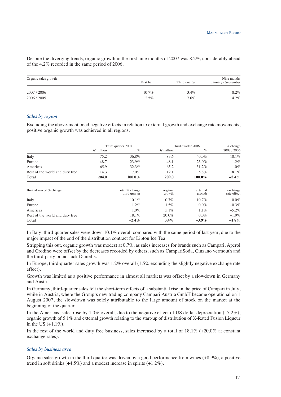Despite the diverging trends, organic growth in the first nine months of 2007 was 8.2%, considerably ahead of the 4.2% recorded in the same period of 2006.

| Organic sales growth | Nine months |               |                     |  |  |
|----------------------|-------------|---------------|---------------------|--|--|
|                      | First half  | Third quarter | January - September |  |  |
| 2007/2006            | $10.7\%$    | 3.4%          | 8.2%                |  |  |
| 2006 / 2005          | $2.5\%$     | 7.6%          | 4.2%                |  |  |

### *Sales by region*

Excluding the above-mentioned negative effects in relation to external growth and exchange rate movements, positive organic growth was achieved in all regions.

|                                 | Third quarter 2007 |                                 |                    | Third quarter 2006 |                         |
|---------------------------------|--------------------|---------------------------------|--------------------|--------------------|-------------------------|
|                                 | $\epsilon$ million | $\%$                            | $\epsilon$ million | $\%$               | 2007 / 2006             |
| Italy                           | 75.2               | 36.8%                           | 83.6               | 40.0%              | $-10.1\%$               |
| Europe                          | 48.7               | 23.9%                           | 48.1               | 23.0%              | 1.2%                    |
| Americas                        | 65.9               | 32.3%                           | 65.2               | 31.2%              | $1.0\%$                 |
| Rest of the world and duty free | 14.3               | $7.0\%$                         | 12.1               | 5.8%               | 18.1%                   |
| <b>Total</b>                    | 204.0              | 100.0%                          | 209.0              | 100.0%             | $-2.4\%$                |
| Breakdown of % change           |                    | Total % change<br>third quarter | organic<br>growth  | external<br>growth | exchange<br>rate effect |
| Italy                           |                    | $-10.1\%$                       | $0.7\%$            | $-10.7\%$          | $0.0\%$                 |
| Europe                          |                    | 1.2%                            | $1.5\%$            | $0.0\%$            | $-0.3\%$                |
| Americas                        |                    | $1.0\%$                         | $5.1\%$            | $1.1\%$            | $-5.2\%$                |
| Rest of the world and duty free |                    | 18.1%                           | 20.0%              | $0.0\%$            | $-1.9\%$                |
| <b>Total</b>                    |                    | $-2.4\%$                        | 3.4%               | $-3.9\%$           | $-1.8\%$                |

In Italy, third-quarter sales were down 10.1% overall compared with the same period of last year, due to the major impact of the end of the distribution contract for Lipton Ice Tea.

Stripping this out, organic growth was modest at 0.7%, as sales increases for brands such as Campari, Aperol and Crodino were offset by the decreases recorded by others, such as CampariSoda, Cinzano vermouth and the third-party brand Jack Daniel's.

In Europe, third-quarter sales growth was 1.2% overall (1.5% excluding the slightly negative exchange rate effect).

Growth was limited as a positive performance in almost all markets was offset by a slowdown in Germany and Austria.

In Germany, third-quarter sales felt the short-term effects of a substantial rise in the price of Campari in July, while in Austria, where the Group's new trading company Campari Austria GmbH became operational on 1 August 2007, the slowdown was solely attributable to the large amount of stock on the market at the beginning of the quarter.

In the Americas, sales rose by 1.0% overall, due to the negative effect of US dollar depreciation  $(-5.2\%)$ , organic growth of 5.1% and external growth relating to the start-up of distribution of X-Rated Fusion Liqueur in the US  $(+1.1\%)$ .

In the rest of the world and duty free business, sales increased by a total of 18.1% (+20.0% at constant exchange rates).

### *Sales by business area*

Organic sales growth in the third quarter was driven by a good performance from wines (+8.9%), a positive trend in soft drinks  $(+4.5\%)$  and a modest increase in spirits  $(+1.2\%)$ .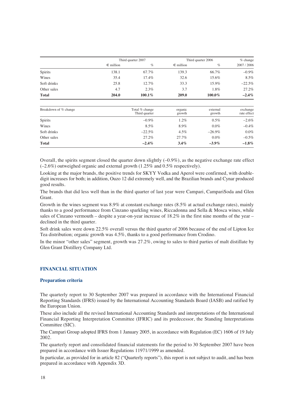|                |                    | Third quarter 2007 |                    | Third quarter 2006 |           |  |
|----------------|--------------------|--------------------|--------------------|--------------------|-----------|--|
|                | $\epsilon$ million | $\%$               | $\epsilon$ million | $\%$               | 2007/2006 |  |
| <b>Spirits</b> | 138.1              | 67.7%              | 139.3              | 66.7%              | $-0.9\%$  |  |
| Wines          | 35.4               | 17.4%              | 32.6               | 15.6%              | 8.5%      |  |
| Soft drinks    | 25.8               | 12.7%              | 33.3               | 15.9%              | $-22.5\%$ |  |
| Other sales    | 4.7                | $2.3\%$            | 3.7                | 1.8%               | 27.2%     |  |
| <b>Total</b>   | 204.0              | $100.1\%$          | 209.0              | $100.0\%$          | $-2.4\%$  |  |

| Breakdown of % change | Total % change<br>Third quarter | organic<br>growth | external<br>growth | exchange<br>rate effect |
|-----------------------|---------------------------------|-------------------|--------------------|-------------------------|
| <b>Spirits</b>        | $-0.9\%$                        | 1.2%              | $0.5\%$            | $-2.6%$                 |
| Wines                 | 8.5%                            | 8.9%              | $0.0\%$            | $-0.4%$                 |
| Soft drinks           | $-22.5%$                        | $4.5\%$           | $-26.9\%$          | 0.0%                    |
| Other sales           | 27.2%                           | $27.7\%$          | $0.0\%$            | $-0.5%$                 |
| <b>Total</b>          | $-2.4\%$                        | $3.4\%$           | $-3.9\%$           | $-1.8\%$                |

Overall, the spirits segment closed the quarter down slightly  $(-0.9\%)$ , as the negative exchange rate effect (–2.6%) outweighed organic and external growth (1.25% and 0.5% respectively).

Looking at the major brands, the positive trends for SKYY Vodka and Aperol were confirmed, with doubledigit increases for both; in addition, Ouzo 12 did extremely well, and the Brazilian brands and Cynar produced good results.

The brands that did less well than in the third quarter of last year were Campari, CampariSoda and Glen Grant.

Growth in the wines segment was 8.9% at constant exchange rates (8.5% at actual exchange rates), mainly thanks to a good performance from Cinzano sparkling wines, Riccadonna and Sella & Mosca wines, while sales of Cinzano vermouth – despite a year-on-year increase of 18.2% in the first nine months of the year – declined in the third quarter.

Soft drink sales were down 22.5% overall versus the third quarter of 2006 because of the end of Lipton Ice Tea distribution; organic growth was 4.5%, thanks to a good performance from Crodino.

In the minor "other sales" segment, growth was 27.2%, owing to sales to third parties of malt distillate by Glen Grant Distillery Company Ltd.

### **FINANCIAL SITUATION**

### **Preparation criteria**

The quarterly report to 30 September 2007 was prepared in accordance with the International Financial Reporting Standards (IFRS) issued by the International Accounting Standards Board (IASB) and ratified by the European Union.

These also include all the revised International Accounting Standards and interpretations of the International Financial Reporting Interpretation Committee (IFRIC) and its predecessor, the Standing Interpretations Committee (SIC).

The Campari Group adopted IFRS from 1 January 2005, in accordance with Regulation (EC) 1606 of 19 July 2002.

The quarterly report and consolidated financial statements for the period to 30 September 2007 have been prepared in accordance with Issuer Regulations 11971/1999 as amended.

In particular, as provided for in article 82 ("Quarterly reports"), this report is not subject to audit, and has been prepared in accordance with Appendix 3D.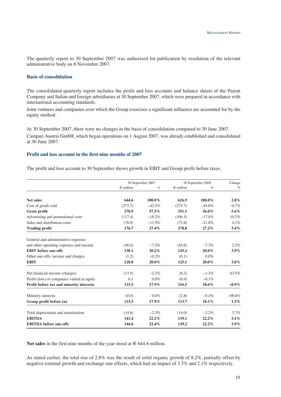The quarterly report to 30 September 2007 was authorised for publication by resolution of the relevant administrative body on 8 November 2007.

### **Basis of consolidation**

The consolidated quarterly report includes the profit and loss accounts and balance sheets of the Parent Company and Italian and foreign subsidiaries at 30 September 2007, which were prepared in accordance with international accounting standards.

Joint ventures and companies over which the Group exercises a significant influence are accounted for by the equity method.

At 30 September 2007, there were no changes in the basis of consolidation compared to 30 June 2007.

Campari Austria GmbH, which began operations on 1 August 2007, was already established and consolidated at 30 June 2007.

## **Profit and loss account in the first nine months of 2007**

The profit and loss account to 30 September shows growth in EBIT and Group profit before taxes.

|                                             | 30 September 2007  |          | 30 September 2006  |           | Change   |
|---------------------------------------------|--------------------|----------|--------------------|-----------|----------|
|                                             | $\epsilon$ million | $\%$     | $\epsilon$ million | $\%$      | $\%$     |
| <b>Net sales</b>                            | 644.6              | 100.0%   | 626.9              | $100.0\%$ | $2.8\%$  |
| Cost of goods sold                          | (273.7)            | $-42.5%$ | (275.7)            | $-44.0\%$ | $-0.7%$  |
| Gross profit                                | 370.9              | 57.5%    | 351.1              | 56.0%     | 5.6%     |
| Advertising and promotional costs           | (117.4)            | $-18.2%$ | (106.5)            | $-17.0\%$ | 10.2%    |
| Sales and distribution costs                | (76.9)             | $-11.9%$ | (73.8)             | $-11.8%$  | 4.1%     |
| <b>Trading profit</b>                       | 176.7              | 27.4%    | 170.8              | 27.2%     | 3.4%     |
| General and administrative expenses         |                    |          |                    |           |          |
| and other operating expenses and income     | (46.6)             | $-7.2%$  | (45.6)             | $-7.3\%$  | 2.2%     |
| <b>EBIT</b> before one-offs                 | 130.1              | 20.2%    | 125.2              | 20.0%     | $3.9\%$  |
| Other one-offs: income and charges          | (1.2)              | $-0.2\%$ | (0.1)              | $0.0\%$   |          |
| <b>EBIT</b>                                 | 128.8              | $20.0\%$ | 125.1              | $20.0\%$  | $3.0\%$  |
| Net financial income (charges)              | (13.5)             | $-2.1\%$ | (8.2)              | $-1.3\%$  | 63.5%    |
| Profit (loss) of companies valued at equity | 0.1                | $0.0\%$  | (0.4)              | $-0.1\%$  |          |
| Profit before tax and minority interests    | 115.5              | 17.9%    | 116.5              | 18.6%     | $-0.9\%$ |
| Minority interests                          | (0.0)              | $0.0\%$  | (2.8)              | $-0.4\%$  | $-98.6%$ |
| Group profit before tax                     | 115.5              | 17.9%    | 113.7              | 18.1%     | 1.5%     |
| Total depreciation and amortisation         | (14.6)             | $-2.3\%$ | (14.0)             | $-2.2\%$  | 3.7%     |
| <b>EBITDA</b>                               | 143.4              | 22.2%    | 139.1              | 22.2%     | $3.1\%$  |
| <b>EBITDA</b> before one-offs               | 144.6              | 22.4%    | 139.2              | 22.2%     | 3.9%     |

Net sales in the first nine months of the year stood at  $\epsilon$  644.6 million.

As stated earlier, the total rise of 2.8% was the result of solid organic growth of 8.2%, partially offset by negative external growth and exchange rate effects, which had an impact of 3.3% and 2.1% respectively.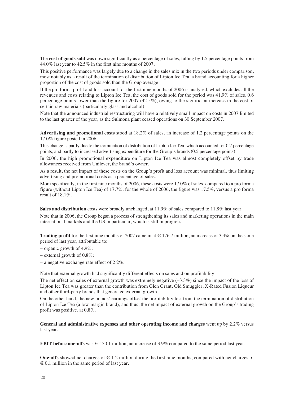The **cost of goods sold** was down significantly as a percentage of sales, falling by 1.5 percentage points from 44.0% last year to 42.5% in the first nine months of 2007.

This positive performance was largely due to a change in the sales mix in the two periods under comparison, most notably as a result of the termination of distribution of Lipton Ice Tea, a brand accounting for a higher proportion of the cost of goods sold than the Group average.

If the pro forma profit and loss account for the first nine months of 2006 is analysed, which excludes all the revenues and costs relating to Lipton Ice Tea, the cost of goods sold for the period was 41.9% of sales, 0.6 percentage points lower than the figure for 2007 (42.5%), owing to the significant increase in the cost of certain raw materials (particularly glass and alcohol).

Note that the announced industrial restructuring will have a relatively small impact on costs in 2007 limited to the last quarter of the year, as the Sulmona plant ceased operations on 30 September 2007.

**Advertising and promotional costs** stood at 18.2% of sales, an increase of 1.2 percentage points on the 17.0% figure posted in 2006.

This change is partly due to the termination of distribution of Lipton Ice Tea, which accounted for 0.7 percentage points, and partly to increased advertising expenditure for the Group's brands (0.5 percentage points).

In 2006, the high promotional expenditure on Lipton Ice Tea was almost completely offset by trade allowances received from Unilever, the brand's owner.

As a result, the net impact of these costs on the Group's profit and loss account was minimal, thus limiting advertising and promotional costs as a percentage of sales.

More specifically, in the first nine months of 2006, these costs were 17.0% of sales, compared to a pro forma figure (without Lipton Ice Tea) of 17.7%; for the whole of 2006, the figure was 17.5%, versus a pro forma result of 18.1%.

**Sales and distribution** costs were broadly unchanged, at 11.9% of sales compared to 11.8% last year.

Note that in 2006, the Group began a process of strengthening its sales and marketing operations in the main international markets and the US in particular, which is still in progress.

**Trading profit** for the first nine months of 2007 came in at  $\in$  176.7 million, an increase of 3.4% on the same period of last year, attributable to:

- organic growth of 4.9%;
- external growth of 0.8%;
- a negative exchange rate effect of 2.2%.

Note that external growth had significantly different effects on sales and on profitability.

The net effect on sales of external growth was extremely negative  $(-3.3\%)$  since the impact of the loss of Lipton Ice Tea was greater than the contribution from Glen Grant, Old Smuggler, X-Rated Fusion Liqueur and other third-party brands that generated external growth.

On the other hand, the new brands' earnings offset the profitability lost from the termination of distribution of Lipton Ice Tea (a low-margin brand), and thus, the net impact of external growth on the Group's trading profit was positive, at 0.8%.

## **General and administrative expenses and other operating income and charges** went up by 2.2% versus last year.

**EBIT before one-offs** was  $\in$  130.1 million, an increase of 3.9% compared to the same period last year.

**One-offs** showed net charges of  $\in$  1.2 million during the first nine months, compared with net charges of  $\epsilon$  0.1 million in the same period of last year.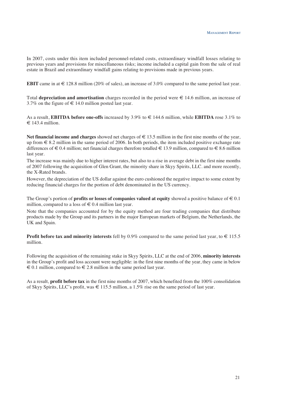In 2007, costs under this item included personnel-related costs, extraordinary windfall losses relating to previous years and provisions for miscellaneous risks; income included a capital gain from the sale of real estate in Brazil and extraordinary windfall gains relating to provisions made in previous years.

**EBIT** came in at  $\in$  128.8 million (20% of sales), an increase of 3.0% compared to the same period last year.

Total **depreciation and amortisation** charges recorded in the period were € 14.6 million, an increase of 3.7% on the figure of  $\in$  14.0 million posted last year.

As a result, **EBITDA before one-offs** increased by 3.9% to € 144.6 million, while **EBITDA** rose 3.1% to  $\in$  143.4 million.

**Net financial income and charges** showed net charges of € 13.5 million in the first nine months of the year, up from  $\epsilon$  8.2 million in the same period of 2006. In both periods, the item included positive exchange rate differences of  $\in 0.4$  million; net financial charges therefore totalled  $\in 13.9$  million, compared to  $\in 8.6$  million last year.

The increase was mainly due to higher interest rates, but also to a rise in average debt in the first nine months of 2007 following the acquisition of Glen Grant, the minority share in Skyy Spirits, LLC. and more recently, the X-Rated brands.

However, the depreciation of the US dollar against the euro cushioned the negative impact to some extent by reducing financial charges for the portion of debt denominated in the US currency.

The Group's portion of **profits or losses of companies valued at equity** showed a positive balance of  $\in$  0.1 million, compared to a loss of  $\in 0.4$  million last year.

Note that the companies accounted for by the equity method are four trading companies that distribute products made by the Group and its partners in the major European markets of Belgium, the Netherlands, the UK and Spain.

**Profit before tax and minority interests** fell by 0.9% compared to the same period last year, to  $\in$  115.5 million.

Following the acquisition of the remaining stake in Skyy Spirits, LLC at the end of 2006, **minority interests** in the Group's profit and loss account were negligible: in the first nine months of the year, they came in below  $\epsilon$  0.1 million, compared to  $\epsilon$  2.8 million in the same period last year.

As a result, **profit before tax** in the first nine months of 2007, which benefited from the 100% consolidation of Skyy Spirits, LLC's profit, was  $\in$  115.5 million, a 1.5% rise on the same period of last year.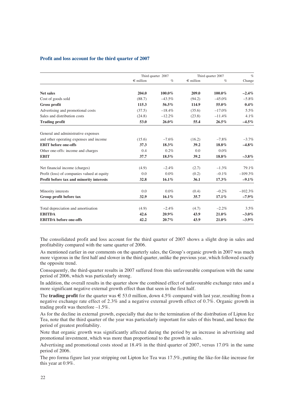### **Profit and loss account for the third quarter of 2007**

|                                             | Third quarter 2007 |          | Third quarter 2007 |           | $\%$      |
|---------------------------------------------|--------------------|----------|--------------------|-----------|-----------|
|                                             | $\epsilon$ million | $\%$     | $\in$ million      | $\%$      | Change    |
| <b>Net sales</b>                            | 204.0              | 100.0%   | 209.0              | $100.0\%$ | $-2.4\%$  |
| Cost of goods sold                          | (88.7)             | $-43.5%$ | (94.2)             | $-45.0\%$ | $-5.8\%$  |
| Gross profit                                | 115.3              | 56.5%    | 114.9              | 55.0%     | 0.4%      |
| Advertising and promotional costs           | (37.5)             | $-18.4%$ | (35.6)             | $-17.0\%$ | 5.5%      |
| Sales and distribution costs                | (24.8)             | $-12.2%$ | (23.8)             | $-11.4%$  | 4.1%      |
| <b>Trading profit</b>                       | 53.0               | 26.0%    | 55.4               | 26.5%     | $-4.5\%$  |
| General and administrative expenses         |                    |          |                    |           |           |
| and other operating expenses and income     | (15.6)             | $-7.6\%$ | (16.2)             | $-7.8\%$  | $-3.7\%$  |
| <b>EBIT</b> before one-offs                 | 37.3               | 18.3%    | 39.2               | 18.8%     | $-4.8\%$  |
| Other one-offs: income and charges          | 0.4                | 0.2%     | 0.0                | $0.0\%$   |           |
| <b>EBIT</b>                                 | 37.7               | 18.5%    | 39.2               | 18.8%     | $-3.8\%$  |
| Net financial income (charges)              | (4.9)              | $-2.4%$  | (2.7)              | $-1.3\%$  | 79.1%     |
| Profit (loss) of companies valued at equity | 0.0                | $0.0\%$  | (0.2)              | $-0.1\%$  | $-109.3%$ |
| Profit before tax and minority interests    | 32.8               | $16.1\%$ | 36.1               | 17.3%     | $-9.1\%$  |
| Minority interests                          | 0.0                | $0.0\%$  | (0.4)              | $-0.2%$   | $-102.3%$ |
| Group profit before tax                     | 32.9               | $16.1\%$ | 35.7               | 17.1%     | $-7.9\%$  |
| Total depreciation and amortisation         | (4.9)              | $-2.4%$  | (4.7)              | $-2.2\%$  | 3.5%      |
| <b>EBITDA</b>                               | 42.6               | $20.9\%$ | 43.9               | 21.0%     | $-3.0\%$  |
| <b>EBITDA</b> before one-offs               | 42.2               | $20.7\%$ | 43.9               | 21.0%     | $-3.9\%$  |

The consolidated profit and loss account for the third quarter of 2007 shows a slight drop in sales and profitability compared with the same quarter of 2006.

As mentioned earlier in our comments on the quarterly sales, the Group's organic growth in 2007 was much more vigorous in the first half and slower in the third quarter, unlike the previous year, which followed exactly the opposite trend.

Consequently, the third-quarter results in 2007 suffered from this unfavourable comparison with the same period of 2006, which was particularly strong.

In addition, the overall results in the quarter show the combined effect of unfavourable exchange rates and a more significant negative external growth effect than that seen in the first half.

The **trading profit** for the quarter was  $\in$  53.0 million, down 4.5% compared with last year, resulting from a negative exchange rate effect of 2.3% and a negative external growth effect of 0.7%. Organic growth in trading profit was therefore –1.5%.

As for the decline in external growth, especially that due to the termination of the distribution of Lipton Ice Tea, note that the third quarter of the year was particularly important for sales of this brand, and hence the period of greatest profitability.

Note that organic growth was significantly affected during the period by an increase in advertising and promotional investment, which was more than proportional to the growth in sales.

Advertising and promotional costs stood at 18.4% in the third quarter of 2007, versus 17.0% in the same period of 2006.

The pro forma figure last year stripping out Lipton Ice Tea was 17.5%, putting the like-for-like increase for this year at 0.9%.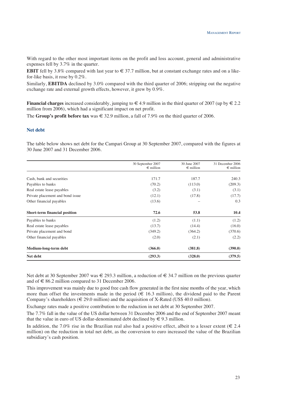With regard to the other most important items on the profit and loss account, general and administrative expenses fell by 3.7% in the quarter.

**EBIT** fell by 3.8% compared with last year to  $\in$  37.7 million, but at constant exchange rates and on a likefor-like basis, it rose by 0.2%.

Similarly, **EBITDA** declined by 3.0% compared with the third quarter of 2006; stripping out the negative exchange rate and external growth effects, however, it grew by 0.9%.

**Financial charges** increased considerably, jumping to  $\in$  4.9 million in the third quarter of 2007 (up by  $\in$  2.2 million from 2006), which had a significant impact on net profit.

The **Group's profit before tax** was  $\in$  32.9 million, a fall of 7.9% on the third quarter of 2006.

#### **Net debt**

The table below shows net debt for the Campari Group at 30 September 2007, compared with the figures at 30 June 2007 and 31 December 2006.

|                                  | 30 September 2007<br>$\epsilon$ million | 30 June 2007<br>$\epsilon$ million | 31 December 2006<br>$\epsilon$ million |
|----------------------------------|-----------------------------------------|------------------------------------|----------------------------------------|
|                                  |                                         |                                    |                                        |
| Cash, bank and securities        | 171.7                                   | 187.7                              | 240.3                                  |
| Payables to banks                | (70.2)                                  | (113.0)                            | (209.3)                                |
| Real estate lease payables       | (3.2)                                   | (3.1)                              | (3.1)                                  |
| Private placement and bond issue | (12.1)                                  | (17.8)                             | (17.7)                                 |
| Other financial payables         | (13.6)                                  |                                    | 0.3                                    |
| Short-term financial position    | 72.6                                    | 53.8                               | 10.4                                   |
| Payables to banks                | (1.2)                                   | (1.1)                              | (1.2)                                  |
| Real estate lease payables       | (13.7)                                  | (14.4)                             | (16.0)                                 |
| Private placement and bond       | (349.2)                                 | (364.2)                            | (370.6)                                |
| Other financial payables         | (2.0)                                   | (2.1)                              | (2.2)                                  |
| Medium-long-term debt            | (366.0)                                 | (381.8)                            | (390.0)                                |
| Net debt                         | (293.3)                                 | (328.0)                            | (379.5)                                |

Net debt at 30 September 2007 was  $\in$  293.3 million, a reduction of  $\in$  34.7 million on the previous quarter and of  $\in$  86.2 million compared to 31 December 2006.

This improvement was mainly due to good free cash flow generated in the first nine months of the year, which more than offset the investments made in the period  $(\epsilon 16.3 \text{ million})$ , the dividend paid to the Parent Company's shareholders ( $\in$  29.0 million) and the acquisition of X-Rated (US\$ 40.0 million).

Exchange rates made a positive contribution to the reduction in net debt at 30 September 2007.

The 7.7% fall in the value of the US dollar between 31 December 2006 and the end of September 2007 meant that the value in euro of US dollar-denominated debt declined by  $\in$  9.3 million.

In addition, the 7.0% rise in the Brazilian real also had a positive effect, albeit to a lesser extent ( $\in$  2.4 million) on the reduction in total net debt, as the conversion to euro increased the value of the Brazilian subsidiary's cash position.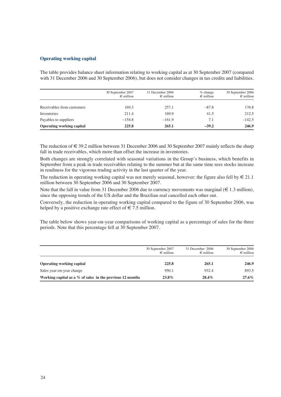## **Operating working capital**

The table provides balance sheet information relating to working capital as at 30 September 2007 (compared with 31 December 2006 and 30 September 2006), but does not consider changes in tax credits and liabilities.

|                                  | 30 September 2007<br>$\epsilon$ million | 31 December 2006<br>$\epsilon$ million | $%$ change<br>$\epsilon$ million | 30 September 2006<br>$\epsilon$ million |
|----------------------------------|-----------------------------------------|----------------------------------------|----------------------------------|-----------------------------------------|
| Receivables from customers       | 169.3                                   | 257.1                                  | $-87.8$                          | 176.8                                   |
| Inventories                      | 211.4                                   | 169.9                                  | 41.5                             | 212.5                                   |
| Payables to suppliers            | $-154.8$                                | $-161.9$                               | 7.1                              | $-142.5$                                |
| <b>Operating working capital</b> | 225.8                                   | 265.1                                  | $-39.2$                          | 246.9                                   |

The reduction of € 39.2 million between 31 December 2006 and 30 September 2007 mainly reflects the sharp fall in trade receivables, which more than offset the increase in inventories.

Both changes are strongly correlated with seasonal variations in the Group's business, which benefits in September from a peak in trade receivables relating to the summer but at the same time sees stocks increase in readiness for the vigorous trading activity in the last quarter of the year.

The reduction in operating working capital was not merely seasonal, however: the figure also fell by  $\in 21.1$ million between 30 September 2006 and 30 September 2007.

Note that the fall in value from 31 December 2006 due to currency movements was marginal ( $\in$  1.3 million), since the opposing trends of the US dollar and the Brazilian real cancelled each other out.

Conversely, the reduction in operating working capital compared to the figure of 30 September 2006, was helped by a positive exchange rate effect of  $\epsilon$  7.5 million.

The table below shows year-on-year comparisons of working capital as a percentage of sales for the three periods. Note that this percentage fell at 30 September 2007.

|                                                              | 30 September 2007<br>$\epsilon$ million | 31 December 2006<br>$\epsilon$ million | 30 September 2006<br>$\epsilon$ million |
|--------------------------------------------------------------|-----------------------------------------|----------------------------------------|-----------------------------------------|
| <b>Operating working capital</b>                             | 225.8                                   | 265.1                                  | 246.9                                   |
| Sales year-on-year change                                    | 950.1                                   | 932.4                                  | 893.5                                   |
| Working capital as a $\%$ of sales in the previous 12 months | 23.8%                                   | $28.4\%$                               | $27.6\%$                                |